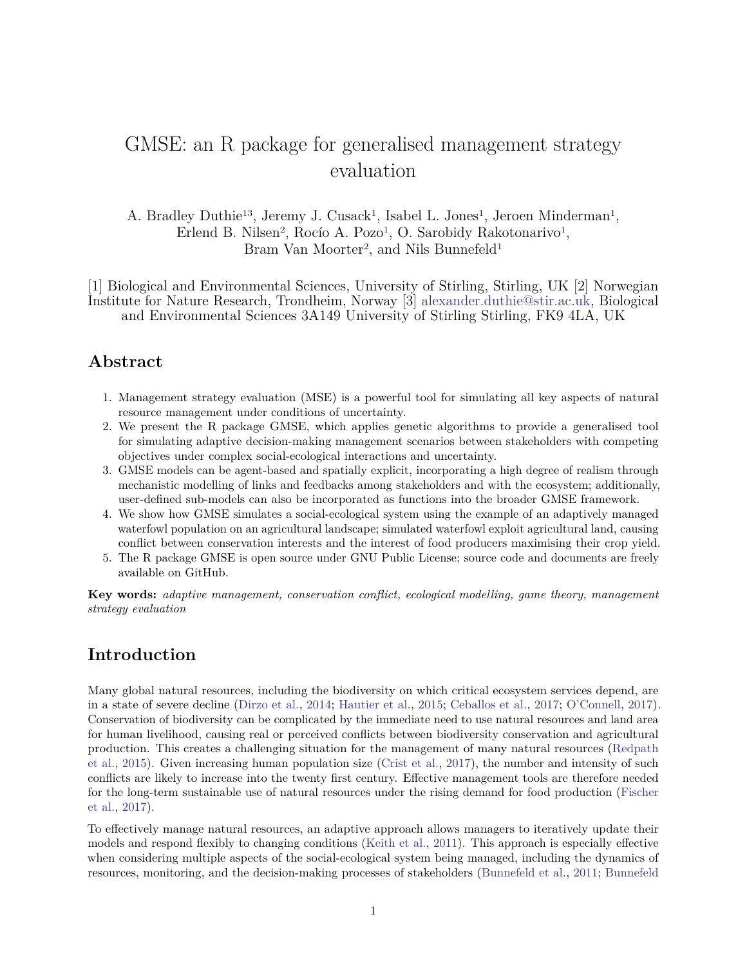# <span id="page-0-0"></span>GMSE: an R package for generalised management strategy evaluation

A. Bradley Duthie<sup>13</sup>, Jeremy J. Cusack<sup>1</sup>, Isabel L. Jones<sup>1</sup>, Jeroen Minderman<sup>1</sup>, Erlend B. Nilsen<sup>2</sup>, Rocío A. Pozo<sup>1</sup>, O. Sarobidy Rakotonarivo<sup>1</sup>, Bram Van Moorter<sup>2</sup>, and Nils Bunnefeld<sup>1</sup>

[1] Biological and Environmental Sciences, University of Stirling, Stirling, UK [2] Norwegian Institute for Nature Research, Trondheim, Norway [3] [alexander.duthie@stir.ac.uk,](mailto:alexander.duthie@stir.ac.uk) Biological and Environmental Sciences 3A149 University of Stirling Stirling, FK9 4LA, UK

### **Abstract**

- 1. Management strategy evaluation (MSE) is a powerful tool for simulating all key aspects of natural resource management under conditions of uncertainty.
- 2. We present the R package GMSE, which applies genetic algorithms to provide a generalised tool for simulating adaptive decision-making management scenarios between stakeholders with competing objectives under complex social-ecological interactions and uncertainty.
- 3. GMSE models can be agent-based and spatially explicit, incorporating a high degree of realism through mechanistic modelling of links and feedbacks among stakeholders and with the ecosystem; additionally, user-defined sub-models can also be incorporated as functions into the broader GMSE framework.
- 4. We show how GMSE simulates a social-ecological system using the example of an adaptively managed waterfowl population on an agricultural landscape; simulated waterfowl exploit agricultural land, causing conflict between conservation interests and the interest of food producers maximising their crop yield.
- 5. The R package GMSE is open source under GNU Public License; source code and documents are freely available on GitHub.

**Key words:** *adaptive management, conservation conflict, ecological modelling, game theory, management strategy evaluation*

### **Introduction**

Many global natural resources, including the biodiversity on which critical ecosystem services depend, are in a state of severe decline [\(Dirzo et al.,](#page-6-0) [2014;](#page-6-0) [Hautier et al.,](#page-6-1) [2015;](#page-6-1) [Ceballos et al.,](#page-6-2) [2017;](#page-6-2) [O'Connell,](#page-7-0) [2017\)](#page-7-0). Conservation of biodiversity can be complicated by the immediate need to use natural resources and land area for human livelihood, causing real or perceived conflicts between biodiversity conservation and agricultural production. This creates a challenging situation for the management of many natural resources [\(Redpath](#page-7-1) [et al.,](#page-7-1) [2015\)](#page-7-1). Given increasing human population size [\(Crist et al.,](#page-6-3) [2017\)](#page-6-3), the number and intensity of such conflicts are likely to increase into the twenty first century. Effective management tools are therefore needed for the long-term sustainable use of natural resources under the rising demand for food production [\(Fischer](#page-6-4) [et al.,](#page-6-4) [2017\)](#page-6-4).

To effectively manage natural resources, an adaptive approach allows managers to iteratively update their models and respond flexibly to changing conditions [\(Keith et al.,](#page-6-5) [2011\)](#page-6-5). This approach is especially effective when considering multiple aspects of the social-ecological system being managed, including the dynamics of resources, monitoring, and the decision-making processes of stakeholders [\(Bunnefeld et al.,](#page-6-6) [2011;](#page-6-6) [Bunnefeld](#page-6-7)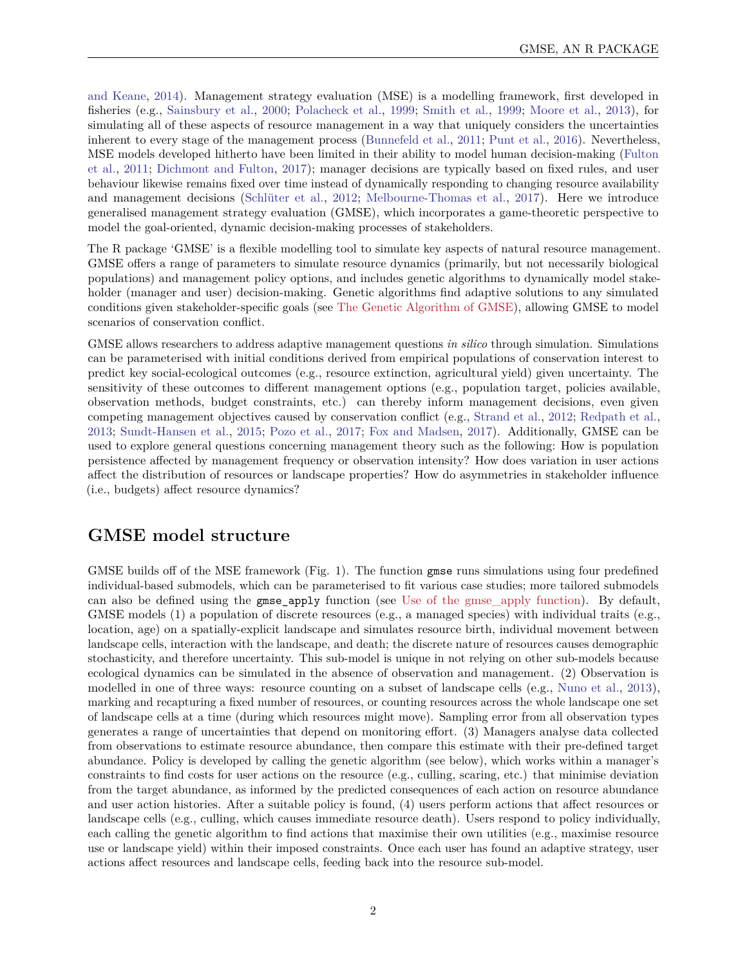[and Keane,](#page-6-7) [2014\)](#page-6-7). Management strategy evaluation (MSE) is a modelling framework, first developed in fisheries (e.g., [Sainsbury et al.,](#page-7-2) [2000;](#page-7-2) [Polacheck et al.,](#page-7-3) [1999;](#page-7-3) [Smith et al.,](#page-7-4) [1999;](#page-7-4) [Moore et al.,](#page-7-5) [2013\)](#page-7-5), for simulating all of these aspects of resource management in a way that uniquely considers the uncertainties inherent to every stage of the management process [\(Bunnefeld et al.,](#page-6-6) [2011;](#page-6-6) [Punt et al.,](#page-7-6) [2016\)](#page-7-6). Nevertheless, MSE models developed hitherto have been limited in their ability to model human decision-making [\(Fulton](#page-6-8) [et al.,](#page-6-8) [2011;](#page-6-8) [Dichmont and Fulton,](#page-6-9) [2017\)](#page-6-9); manager decisions are typically based on fixed rules, and user behaviour likewise remains fixed over time instead of dynamically responding to changing resource availability and management decisions [\(Schlüter et al.,](#page-7-7) [2012;](#page-7-7) [Melbourne-Thomas et al.,](#page-6-10) [2017\)](#page-6-10). Here we introduce generalised management strategy evaluation (GMSE), which incorporates a game-theoretic perspective to model the goal-oriented, dynamic decision-making processes of stakeholders.

The R package 'GMSE' is a flexible modelling tool to simulate key aspects of natural resource management. GMSE offers a range of parameters to simulate resource dynamics (primarily, but not necessarily biological populations) and management policy options, and includes genetic algorithms to dynamically model stakeholder (manager and user) decision-making. Genetic algorithms find adaptive solutions to any simulated conditions given stakeholder-specific goals (see [The Genetic Algorithm of GMSE\)](#page-0-0), allowing GMSE to model scenarios of conservation conflict.

GMSE allows researchers to address adaptive management questions *in silico* through simulation. Simulations can be parameterised with initial conditions derived from empirical populations of conservation interest to predict key social-ecological outcomes (e.g., resource extinction, agricultural yield) given uncertainty. The sensitivity of these outcomes to different management options (e.g., population target, policies available, observation methods, budget constraints, etc.) can thereby inform management decisions, even given competing management objectives caused by conservation conflict (e.g., [Strand et al.,](#page-7-8) [2012;](#page-7-8) [Redpath et al.,](#page-7-9) [2013;](#page-7-9) [Sundt-Hansen et al.,](#page-7-10) [2015;](#page-7-10) [Pozo et al.,](#page-7-11) [2017;](#page-7-11) [Fox and Madsen,](#page-6-11) [2017\)](#page-6-11). Additionally, GMSE can be used to explore general questions concerning management theory such as the following: How is population persistence affected by management frequency or observation intensity? How does variation in user actions affect the distribution of resources or landscape properties? How do asymmetries in stakeholder influence (i.e., budgets) affect resource dynamics?

# **GMSE model structure**

GMSE builds off of the MSE framework (Fig. 1). The function gmse runs simulations using four predefined individual-based submodels, which can be parameterised to fit various case studies; more tailored submodels can also be defined using the gmse\_apply function (see [Use of the gmse\\_apply function\)](#page-0-0). By default, GMSE models (1) a population of discrete resources (e.g., a managed species) with individual traits (e.g., location, age) on a spatially-explicit landscape and simulates resource birth, individual movement between landscape cells, interaction with the landscape, and death; the discrete nature of resources causes demographic stochasticity, and therefore uncertainty. This sub-model is unique in not relying on other sub-models because ecological dynamics can be simulated in the absence of observation and management. (2) Observation is modelled in one of three ways: resource counting on a subset of landscape cells (e.g., [Nuno et al.,](#page-7-12) [2013\)](#page-7-12), marking and recapturing a fixed number of resources, or counting resources across the whole landscape one set of landscape cells at a time (during which resources might move). Sampling error from all observation types generates a range of uncertainties that depend on monitoring effort. (3) Managers analyse data collected from observations to estimate resource abundance, then compare this estimate with their pre-defined target abundance. Policy is developed by calling the genetic algorithm (see below), which works within a manager's constraints to find costs for user actions on the resource (e.g., culling, scaring, etc.) that minimise deviation from the target abundance, as informed by the predicted consequences of each action on resource abundance and user action histories. After a suitable policy is found, (4) users perform actions that affect resources or landscape cells (e.g., culling, which causes immediate resource death). Users respond to policy individually, each calling the genetic algorithm to find actions that maximise their own utilities (e.g., maximise resource use or landscape yield) within their imposed constraints. Once each user has found an adaptive strategy, user actions affect resources and landscape cells, feeding back into the resource sub-model.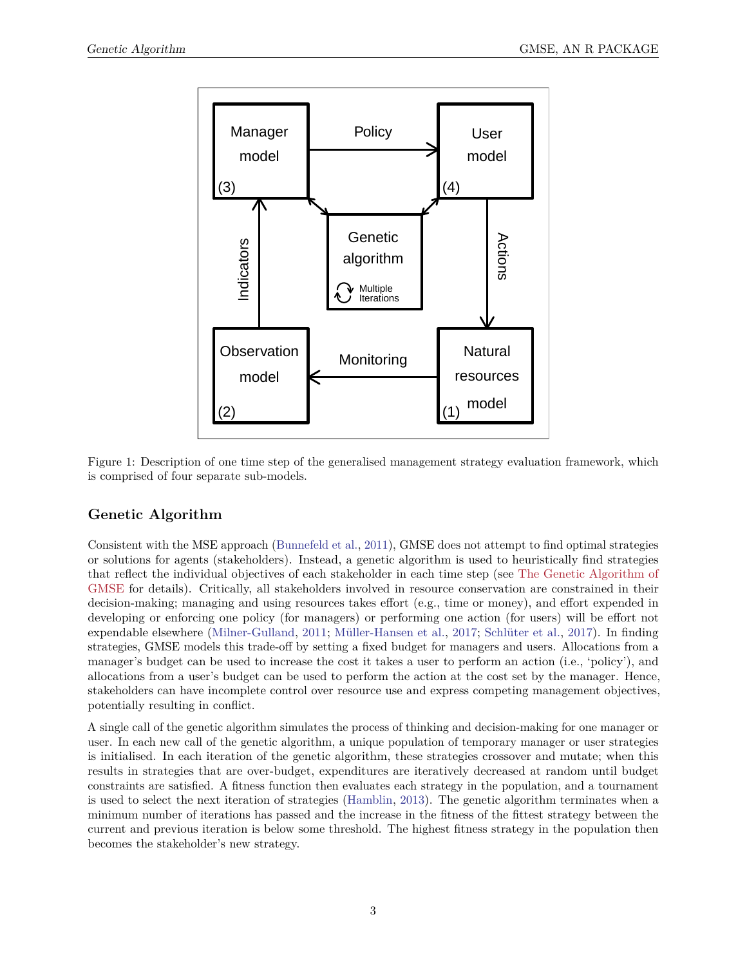

Figure 1: Description of one time step of the generalised management strategy evaluation framework, which is comprised of four separate sub-models.

### **Genetic Algorithm**

Consistent with the MSE approach [\(Bunnefeld et al.,](#page-6-6) [2011\)](#page-6-6), GMSE does not attempt to find optimal strategies or solutions for agents (stakeholders). Instead, a genetic algorithm is used to heuristically find strategies that reflect the individual objectives of each stakeholder in each time step (see [The Genetic Algorithm of](#page-0-0) [GMSE](#page-0-0) for details). Critically, all stakeholders involved in resource conservation are constrained in their decision-making; managing and using resources takes effort (e.g., time or money), and effort expended in developing or enforcing one policy (for managers) or performing one action (for users) will be effort not expendable elsewhere [\(Milner-Gulland,](#page-7-13) [2011;](#page-7-13) [Müller-Hansen et al.,](#page-7-14) [2017;](#page-7-14) [Schlüter et al.,](#page-7-15) [2017\)](#page-7-15). In finding strategies, GMSE models this trade-off by setting a fixed budget for managers and users. Allocations from a manager's budget can be used to increase the cost it takes a user to perform an action (i.e., 'policy'), and allocations from a user's budget can be used to perform the action at the cost set by the manager. Hence, stakeholders can have incomplete control over resource use and express competing management objectives, potentially resulting in conflict.

A single call of the genetic algorithm simulates the process of thinking and decision-making for one manager or user. In each new call of the genetic algorithm, a unique population of temporary manager or user strategies is initialised. In each iteration of the genetic algorithm, these strategies crossover and mutate; when this results in strategies that are over-budget, expenditures are iteratively decreased at random until budget constraints are satisfied. A fitness function then evaluates each strategy in the population, and a tournament is used to select the next iteration of strategies [\(Hamblin,](#page-6-12) [2013\)](#page-6-12). The genetic algorithm terminates when a minimum number of iterations has passed and the increase in the fitness of the fittest strategy between the current and previous iteration is below some threshold. The highest fitness strategy in the population then becomes the stakeholder's new strategy.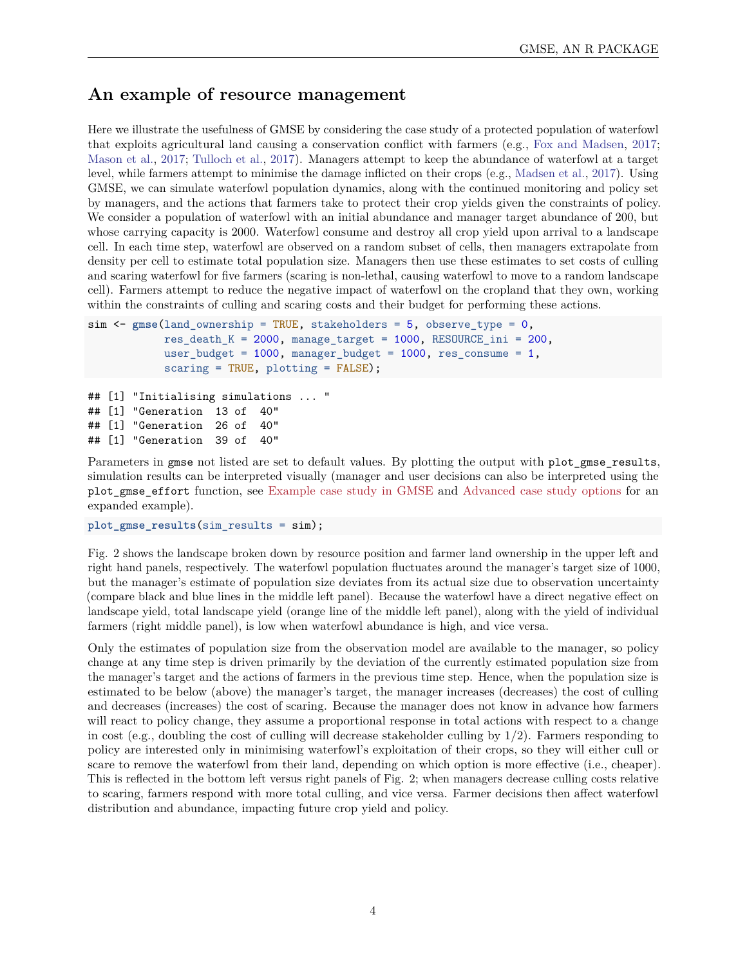### **An example of resource management**

Here we illustrate the usefulness of GMSE by considering the case study of a protected population of waterfowl that exploits agricultural land causing a conservation conflict with farmers (e.g., [Fox and Madsen,](#page-6-11) [2017;](#page-6-11) [Mason et al.,](#page-6-13) [2017;](#page-6-13) [Tulloch et al.,](#page-8-0) [2017\)](#page-8-0). Managers attempt to keep the abundance of waterfowl at a target level, while farmers attempt to minimise the damage inflicted on their crops (e.g., [Madsen et al.,](#page-6-14) [2017\)](#page-6-14). Using GMSE, we can simulate waterfowl population dynamics, along with the continued monitoring and policy set by managers, and the actions that farmers take to protect their crop yields given the constraints of policy. We consider a population of waterfowl with an initial abundance and manager target abundance of 200, but whose carrying capacity is 2000. Waterfowl consume and destroy all crop yield upon arrival to a landscape cell. In each time step, waterfowl are observed on a random subset of cells, then managers extrapolate from density per cell to estimate total population size. Managers then use these estimates to set costs of culling and scaring waterfowl for five farmers (scaring is non-lethal, causing waterfowl to move to a random landscape cell). Farmers attempt to reduce the negative impact of waterfowl on the cropland that they own, working within the constraints of culling and scaring costs and their budget for performing these actions.

```
sim <- gmse(land ownership = TRUE, stakeholders = 5, observe type = 0,
            res\_death_K = 2000, manage_target = 1000, RESOURCE_ini = 200,
            user_budget = 1000, manager_budget = 1000, res_consume = 1,
            scaring = TRUE, plotting = FALSE);
## [1] "Initialising simulations ... "
\# [1] "Generation 13 of
## [1] "Generation 26 of 40"
## [1] "Generation 39 of 40"
```
Parameters in gmse not listed are set to default values. By plotting the output with plot\_gmse\_results, simulation results can be interpreted visually (manager and user decisions can also be interpreted using the plot\_gmse\_effort function, see [Example case study in GMSE](#page-0-0) and [Advanced case study options](#page-0-0) for an expanded example).

plot gmse results(sim results = sim);

Fig. 2 shows the landscape broken down by resource position and farmer land ownership in the upper left and right hand panels, respectively. The waterfowl population fluctuates around the manager's target size of 1000, but the manager's estimate of population size deviates from its actual size due to observation uncertainty (compare black and blue lines in the middle left panel). Because the waterfowl have a direct negative effect on landscape yield, total landscape yield (orange line of the middle left panel), along with the yield of individual farmers (right middle panel), is low when waterfowl abundance is high, and vice versa.

Only the estimates of population size from the observation model are available to the manager, so policy change at any time step is driven primarily by the deviation of the currently estimated population size from the manager's target and the actions of farmers in the previous time step. Hence, when the population size is estimated to be below (above) the manager's target, the manager increases (decreases) the cost of culling and decreases (increases) the cost of scaring. Because the manager does not know in advance how farmers will react to policy change, they assume a proportional response in total actions with respect to a change in cost (e.g., doubling the cost of culling will decrease stakeholder culling by 1*/*2). Farmers responding to policy are interested only in minimising waterfowl's exploitation of their crops, so they will either cull or scare to remove the waterfowl from their land, depending on which option is more effective (i.e., cheaper). This is reflected in the bottom left versus right panels of Fig. 2; when managers decrease culling costs relative to scaring, farmers respond with more total culling, and vice versa. Farmer decisions then affect waterfowl distribution and abundance, impacting future crop yield and policy.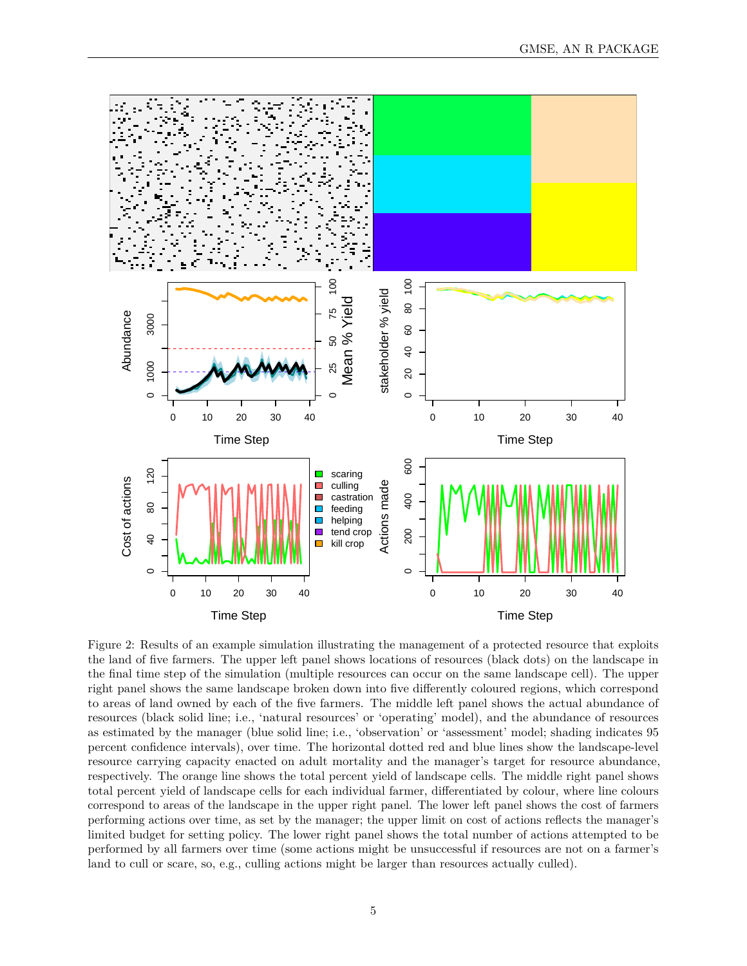

Figure 2: Results of an example simulation illustrating the management of a protected resource that exploits the land of five farmers. The upper left panel shows locations of resources (black dots) on the landscape in the final time step of the simulation (multiple resources can occur on the same landscape cell). The upper right panel shows the same landscape broken down into five differently coloured regions, which correspond to areas of land owned by each of the five farmers. The middle left panel shows the actual abundance of resources (black solid line; i.e., 'natural resources' or 'operating' model), and the abundance of resources as estimated by the manager (blue solid line; i.e., 'observation' or 'assessment' model; shading indicates 95 percent confidence intervals), over time. The horizontal dotted red and blue lines show the landscape-level resource carrying capacity enacted on adult mortality and the manager's target for resource abundance, respectively. The orange line shows the total percent yield of landscape cells. The middle right panel shows total percent yield of landscape cells for each individual farmer, differentiated by colour, where line colours correspond to areas of the landscape in the upper right panel. The lower left panel shows the cost of farmers performing actions over time, as set by the manager; the upper limit on cost of actions reflects the manager's limited budget for setting policy. The lower right panel shows the total number of actions attempted to be performed by all farmers over time (some actions might be unsuccessful if resources are not on a farmer's land to cull or scare, so, e.g., culling actions might be larger than resources actually culled).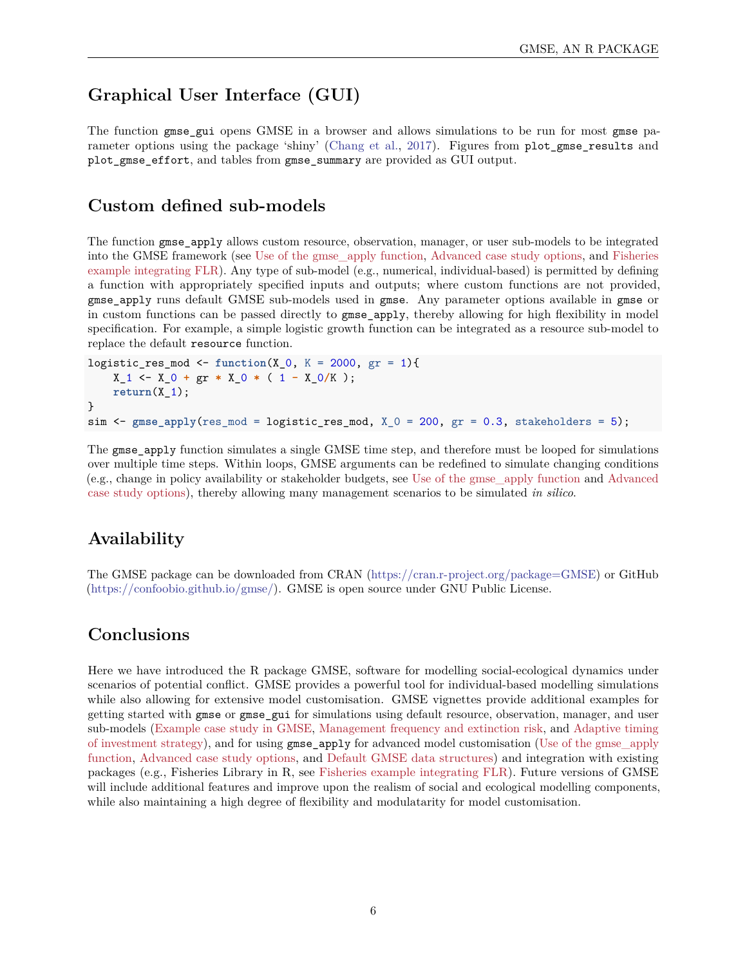# **Graphical User Interface (GUI)**

The function gmse gui opens GMSE in a browser and allows simulations to be run for most gmse pa-rameter options using the package 'shiny' [\(Chang et al.,](#page-6-15) [2017\)](#page-6-15). Figures from plot gmse results and plot\_gmse\_effort, and tables from gmse\_summary are provided as GUI output.

### **Custom defined sub-models**

The function gmse apply allows custom resource, observation, manager, or user sub-models to be integrated into the GMSE framework (see [Use of the gmse\\_apply function,](#page-0-0) [Advanced case study options,](#page-0-0) and [Fisheries](#page-0-0) [example integrating FLR\)](#page-0-0). Any type of sub-model (e.g., numerical, individual-based) is permitted by defining a function with appropriately specified inputs and outputs; where custom functions are not provided, gmse\_apply runs default GMSE sub-models used in gmse. Any parameter options available in gmse or in custom functions can be passed directly to gmse\_apply, thereby allowing for high flexibility in model specification. For example, a simple logistic growth function can be integrated as a resource sub-model to replace the default resource function.

```
logistic_res_mod <- function(X_0, K = 2000, gr = 1){
    X_1 \leftarrow X_0 + g r * X_0 * (1 - X_0/K);return(X_1);}
sim < gmse_apply(res_mod = logistic_res_mod, X_0 = 200, gr = 0.3, stakeholders = 5);
```
The gmse\_apply function simulates a single GMSE time step, and therefore must be looped for simulations over multiple time steps. Within loops, GMSE arguments can be redefined to simulate changing conditions (e.g., change in policy availability or stakeholder budgets, see [Use of the gmse\\_apply function](#page-0-0) and [Advanced](#page-0-0) [case study options\)](#page-0-0), thereby allowing many management scenarios to be simulated *in silico*.

# **Availability**

The GMSE package can be downloaded from CRAN [\(https://cran.r-project.org/package=GMSE\)](https://cran.r-project.org/package=GMSE) or GitHub [\(https://confoobio.github.io/gmse/\)](https://confoobio.github.io/gmse/). GMSE is open source under GNU Public License.

# **Conclusions**

Here we have introduced the R package GMSE, software for modelling social-ecological dynamics under scenarios of potential conflict. GMSE provides a powerful tool for individual-based modelling simulations while also allowing for extensive model customisation. GMSE vignettes provide additional examples for getting started with gmse or gmse\_gui for simulations using default resource, observation, manager, and user sub-models [\(Example case study in GMSE,](#page-0-0) [Management frequency and extinction risk,](#page-0-0) and [Adaptive timing](#page-0-0) [of investment strategy\)](#page-0-0), and for using gmse\_apply for advanced model customisation [\(Use of the gmse\\_apply](#page-0-0) [function,](#page-0-0) [Advanced case study options,](#page-0-0) and [Default GMSE data structures\)](#page-0-0) and integration with existing packages (e.g., Fisheries Library in R, see [Fisheries example integrating FLR\)](#page-0-0). Future versions of GMSE will include additional features and improve upon the realism of social and ecological modelling components, while also maintaining a high degree of flexibility and modulatarity for model customisation.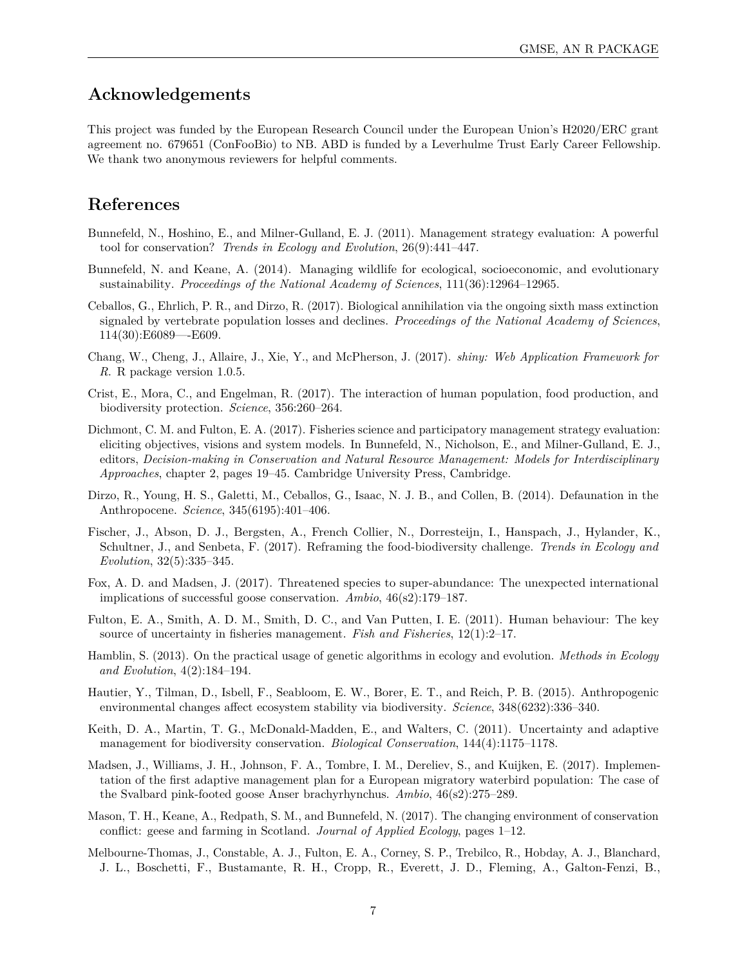### **Acknowledgements**

This project was funded by the European Research Council under the European Union's H2020/ERC grant agreement no. 679651 (ConFooBio) to NB. ABD is funded by a Leverhulme Trust Early Career Fellowship. We thank two anonymous reviewers for helpful comments.

## **References**

- <span id="page-6-6"></span>Bunnefeld, N., Hoshino, E., and Milner-Gulland, E. J. (2011). Management strategy evaluation: A powerful tool for conservation? *Trends in Ecology and Evolution*, 26(9):441–447.
- <span id="page-6-7"></span>Bunnefeld, N. and Keane, A. (2014). Managing wildlife for ecological, socioeconomic, and evolutionary sustainability. *Proceedings of the National Academy of Sciences*, 111(36):12964–12965.
- <span id="page-6-2"></span>Ceballos, G., Ehrlich, P. R., and Dirzo, R. (2017). Biological annihilation via the ongoing sixth mass extinction signaled by vertebrate population losses and declines. *Proceedings of the National Academy of Sciences*, 114(30):E6089—-E609.
- <span id="page-6-15"></span>Chang, W., Cheng, J., Allaire, J., Xie, Y., and McPherson, J. (2017). *shiny: Web Application Framework for R*. R package version 1.0.5.
- <span id="page-6-3"></span>Crist, E., Mora, C., and Engelman, R. (2017). The interaction of human population, food production, and biodiversity protection. *Science*, 356:260–264.
- <span id="page-6-9"></span>Dichmont, C. M. and Fulton, E. A. (2017). Fisheries science and participatory management strategy evaluation: eliciting objectives, visions and system models. In Bunnefeld, N., Nicholson, E., and Milner-Gulland, E. J., editors, *Decision-making in Conservation and Natural Resource Management: Models for Interdisciplinary Approaches*, chapter 2, pages 19–45. Cambridge University Press, Cambridge.
- <span id="page-6-0"></span>Dirzo, R., Young, H. S., Galetti, M., Ceballos, G., Isaac, N. J. B., and Collen, B. (2014). Defaunation in the Anthropocene. *Science*, 345(6195):401–406.
- <span id="page-6-4"></span>Fischer, J., Abson, D. J., Bergsten, A., French Collier, N., Dorresteijn, I., Hanspach, J., Hylander, K., Schultner, J., and Senbeta, F. (2017). Reframing the food-biodiversity challenge. *Trends in Ecology and Evolution*, 32(5):335–345.
- <span id="page-6-11"></span>Fox, A. D. and Madsen, J. (2017). Threatened species to super-abundance: The unexpected international implications of successful goose conservation. *Ambio*, 46(s2):179–187.
- <span id="page-6-8"></span>Fulton, E. A., Smith, A. D. M., Smith, D. C., and Van Putten, I. E. (2011). Human behaviour: The key source of uncertainty in fisheries management. *Fish and Fisheries*, 12(1):2–17.
- <span id="page-6-12"></span>Hamblin, S. (2013). On the practical usage of genetic algorithms in ecology and evolution. *Methods in Ecology and Evolution*, 4(2):184–194.
- <span id="page-6-1"></span>Hautier, Y., Tilman, D., Isbell, F., Seabloom, E. W., Borer, E. T., and Reich, P. B. (2015). Anthropogenic environmental changes affect ecosystem stability via biodiversity. *Science*, 348(6232):336–340.
- <span id="page-6-5"></span>Keith, D. A., Martin, T. G., McDonald-Madden, E., and Walters, C. (2011). Uncertainty and adaptive management for biodiversity conservation. *Biological Conservation*, 144(4):1175–1178.
- <span id="page-6-14"></span>Madsen, J., Williams, J. H., Johnson, F. A., Tombre, I. M., Dereliev, S., and Kuijken, E. (2017). Implementation of the first adaptive management plan for a European migratory waterbird population: The case of the Svalbard pink-footed goose Anser brachyrhynchus. *Ambio*, 46(s2):275–289.
- <span id="page-6-13"></span>Mason, T. H., Keane, A., Redpath, S. M., and Bunnefeld, N. (2017). The changing environment of conservation conflict: geese and farming in Scotland. *Journal of Applied Ecology*, pages 1–12.
- <span id="page-6-10"></span>Melbourne-Thomas, J., Constable, A. J., Fulton, E. A., Corney, S. P., Trebilco, R., Hobday, A. J., Blanchard, J. L., Boschetti, F., Bustamante, R. H., Cropp, R., Everett, J. D., Fleming, A., Galton-Fenzi, B.,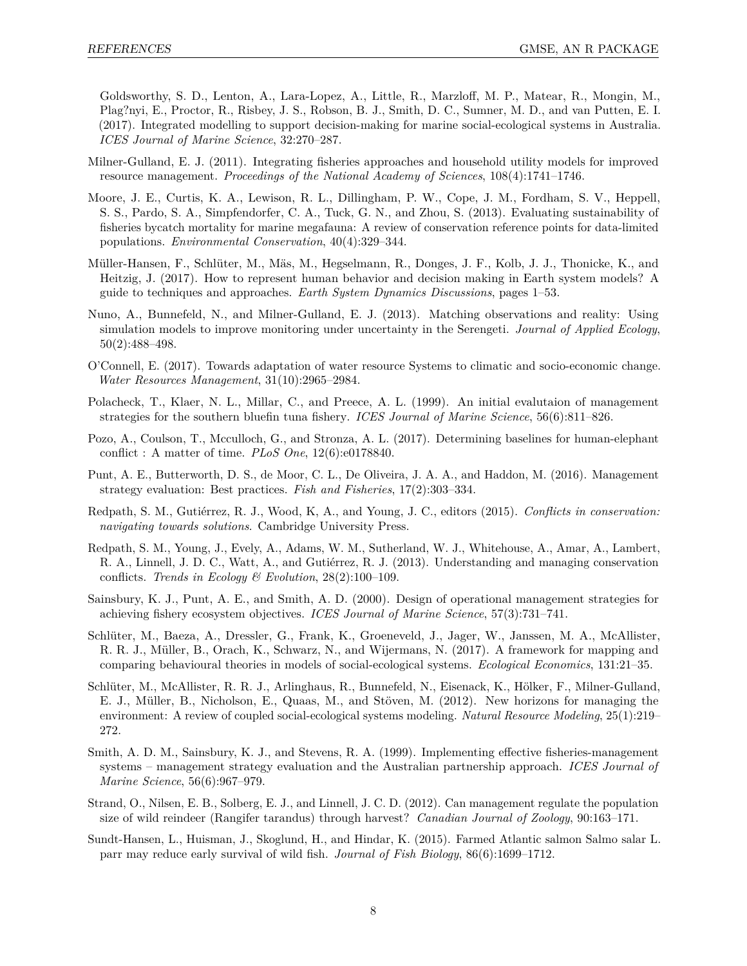Goldsworthy, S. D., Lenton, A., Lara-Lopez, A., Little, R., Marzloff, M. P., Matear, R., Mongin, M., Plag?nyi, E., Proctor, R., Risbey, J. S., Robson, B. J., Smith, D. C., Sumner, M. D., and van Putten, E. I. (2017). Integrated modelling to support decision-making for marine social-ecological systems in Australia. *ICES Journal of Marine Science*, 32:270–287.

- <span id="page-7-13"></span>Milner-Gulland, E. J. (2011). Integrating fisheries approaches and household utility models for improved resource management. *Proceedings of the National Academy of Sciences*, 108(4):1741–1746.
- <span id="page-7-5"></span>Moore, J. E., Curtis, K. A., Lewison, R. L., Dillingham, P. W., Cope, J. M., Fordham, S. V., Heppell, S. S., Pardo, S. A., Simpfendorfer, C. A., Tuck, G. N., and Zhou, S. (2013). Evaluating sustainability of fisheries bycatch mortality for marine megafauna: A review of conservation reference points for data-limited populations. *Environmental Conservation*, 40(4):329–344.
- <span id="page-7-14"></span>Müller-Hansen, F., Schlüter, M., Mäs, M., Hegselmann, R., Donges, J. F., Kolb, J. J., Thonicke, K., and Heitzig, J. (2017). How to represent human behavior and decision making in Earth system models? A guide to techniques and approaches. *Earth System Dynamics Discussions*, pages 1–53.
- <span id="page-7-12"></span>Nuno, A., Bunnefeld, N., and Milner-Gulland, E. J. (2013). Matching observations and reality: Using simulation models to improve monitoring under uncertainty in the Serengeti. *Journal of Applied Ecology*, 50(2):488–498.
- <span id="page-7-0"></span>O'Connell, E. (2017). Towards adaptation of water resource Systems to climatic and socio-economic change. *Water Resources Management*, 31(10):2965–2984.
- <span id="page-7-3"></span>Polacheck, T., Klaer, N. L., Millar, C., and Preece, A. L. (1999). An initial evalutaion of management strategies for the southern bluefin tuna fishery. *ICES Journal of Marine Science*, 56(6):811–826.
- <span id="page-7-11"></span>Pozo, A., Coulson, T., Mcculloch, G., and Stronza, A. L. (2017). Determining baselines for human-elephant conflict : A matter of time. *PLoS One*, 12(6):e0178840.
- <span id="page-7-6"></span>Punt, A. E., Butterworth, D. S., de Moor, C. L., De Oliveira, J. A. A., and Haddon, M. (2016). Management strategy evaluation: Best practices. *Fish and Fisheries*, 17(2):303–334.
- <span id="page-7-1"></span>Redpath, S. M., Gutiérrez, R. J., Wood, K, A., and Young, J. C., editors (2015). *Conflicts in conservation: navigating towards solutions*. Cambridge University Press.
- <span id="page-7-9"></span>Redpath, S. M., Young, J., Evely, A., Adams, W. M., Sutherland, W. J., Whitehouse, A., Amar, A., Lambert, R. A., Linnell, J. D. C., Watt, A., and Gutiérrez, R. J. (2013). Understanding and managing conservation conflicts. *Trends in Ecology & Evolution*, 28(2):100–109.
- <span id="page-7-2"></span>Sainsbury, K. J., Punt, A. E., and Smith, A. D. (2000). Design of operational management strategies for achieving fishery ecosystem objectives. *ICES Journal of Marine Science*, 57(3):731–741.
- <span id="page-7-15"></span>Schlüter, M., Baeza, A., Dressler, G., Frank, K., Groeneveld, J., Jager, W., Janssen, M. A., McAllister, R. R. J., Müller, B., Orach, K., Schwarz, N., and Wijermans, N. (2017). A framework for mapping and comparing behavioural theories in models of social-ecological systems. *Ecological Economics*, 131:21–35.
- <span id="page-7-7"></span>Schlüter, M., McAllister, R. R. J., Arlinghaus, R., Bunnefeld, N., Eisenack, K., Hölker, F., Milner-Gulland, E. J., Müller, B., Nicholson, E., Quaas, M., and Stöven, M. (2012). New horizons for managing the environment: A review of coupled social-ecological systems modeling. *Natural Resource Modeling*, 25(1):219– 272.
- <span id="page-7-4"></span>Smith, A. D. M., Sainsbury, K. J., and Stevens, R. A. (1999). Implementing effective fisheries-management systems – management strategy evaluation and the Australian partnership approach. *ICES Journal of Marine Science*, 56(6):967–979.
- <span id="page-7-8"></span>Strand, O., Nilsen, E. B., Solberg, E. J., and Linnell, J. C. D. (2012). Can management regulate the population size of wild reindeer (Rangifer tarandus) through harvest? *Canadian Journal of Zoology*, 90:163–171.
- <span id="page-7-10"></span>Sundt-Hansen, L., Huisman, J., Skoglund, H., and Hindar, K. (2015). Farmed Atlantic salmon Salmo salar L. parr may reduce early survival of wild fish. *Journal of Fish Biology*, 86(6):1699–1712.